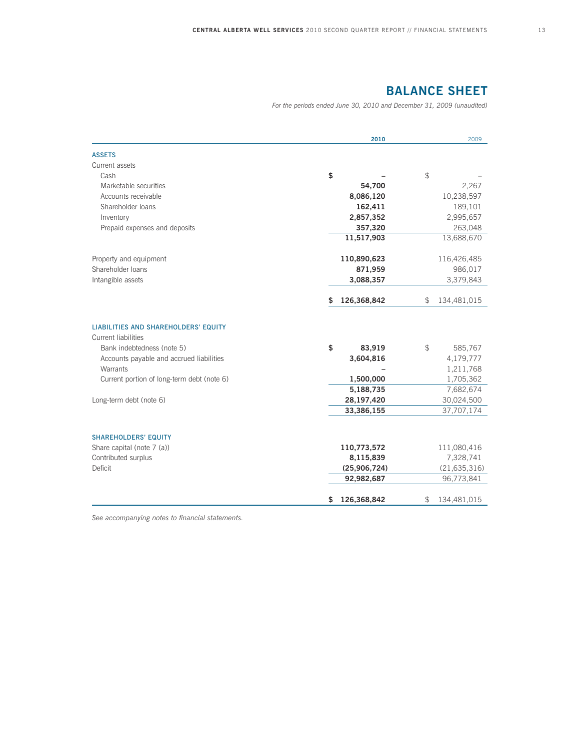# **BALANCE SHEET**

*For the periods ended June 30, 2010 and December 31, 2009 (unaudited)*

|                                                                                                                                                                                                                                          | 2010                                                                            | 2009                                                                                          |
|------------------------------------------------------------------------------------------------------------------------------------------------------------------------------------------------------------------------------------------|---------------------------------------------------------------------------------|-----------------------------------------------------------------------------------------------|
| <b>ASSETS</b>                                                                                                                                                                                                                            |                                                                                 |                                                                                               |
| Current assets                                                                                                                                                                                                                           |                                                                                 |                                                                                               |
| Cash                                                                                                                                                                                                                                     | \$                                                                              | \$                                                                                            |
| Marketable securities                                                                                                                                                                                                                    | 54,700                                                                          | 2,267                                                                                         |
| Accounts receivable                                                                                                                                                                                                                      | 8,086,120                                                                       | 10,238,597                                                                                    |
| Shareholder loans                                                                                                                                                                                                                        | 162,411                                                                         | 189,101                                                                                       |
| Inventory                                                                                                                                                                                                                                | 2,857,352                                                                       | 2,995,657                                                                                     |
| Prepaid expenses and deposits                                                                                                                                                                                                            | 357,320                                                                         | 263,048                                                                                       |
|                                                                                                                                                                                                                                          | 11,517,903                                                                      | 13,688,670                                                                                    |
| Property and equipment                                                                                                                                                                                                                   | 110,890,623                                                                     | 116,426,485                                                                                   |
| Shareholder Ioans                                                                                                                                                                                                                        | 871,959                                                                         | 986,017                                                                                       |
| Intangible assets                                                                                                                                                                                                                        | 3,088,357                                                                       | 3,379,843                                                                                     |
|                                                                                                                                                                                                                                          | 126,368,842<br>S                                                                | \$<br>134,481,015                                                                             |
| <b>LIABILITIES AND SHAREHOLDERS' EQUITY</b><br><b>Current liabilities</b><br>Bank indebtedness (note 5)<br>Accounts payable and accrued liabilities<br>Warrants<br>Current portion of long-term debt (note 6)<br>Long-term debt (note 6) | \$<br>83,919<br>3,604,816<br>1,500,000<br>5,188,735<br>28,197,420<br>33,386,155 | \$<br>585,767<br>4,179,777<br>1,211,768<br>1,705,362<br>7,682,674<br>30,024,500<br>37,707,174 |
| <b>SHAREHOLDERS' EQUITY</b>                                                                                                                                                                                                              |                                                                                 |                                                                                               |
| Share capital (note 7 (a))                                                                                                                                                                                                               | 110,773,572                                                                     | 111,080,416                                                                                   |
| Contributed surplus                                                                                                                                                                                                                      | 8,115,839                                                                       | 7,328,741                                                                                     |
| Deficit                                                                                                                                                                                                                                  | (25,906,724)                                                                    | (21, 635, 316)                                                                                |
|                                                                                                                                                                                                                                          | 92,982,687                                                                      | 96,773,841                                                                                    |
|                                                                                                                                                                                                                                          | 126,368,842<br>\$                                                               | \$<br>134,481,015                                                                             |

*See accompanying notes to financial statements.*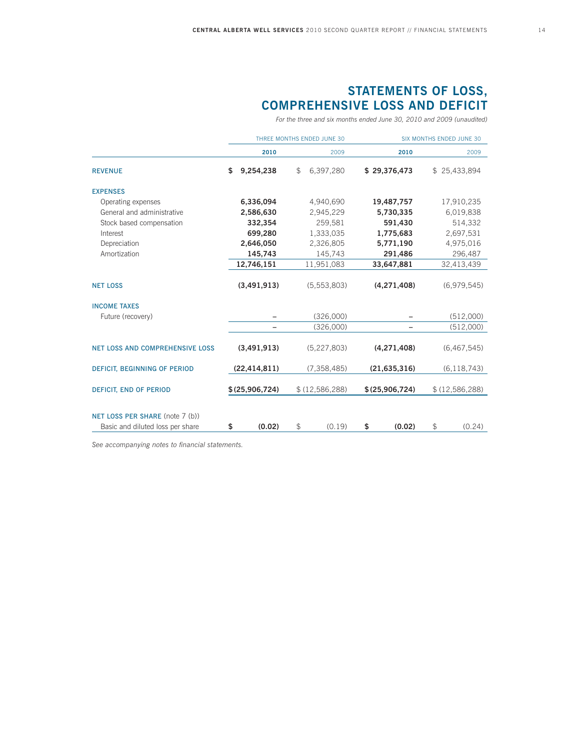# **STATEMENTS OF LOSS, COMPREHENSIVE LOSS AND DEFICIT**

*For the three and six months ended June 30, 2010 and 2009 (unaudited)*

|                                        | THREE MONTHS ENDED JUNE 30 |                | <b>SIX MONTHS ENDED JUNE 30</b> |               |                |                |             |                |  |             |
|----------------------------------------|----------------------------|----------------|---------------------------------|---------------|----------------|----------------|-------------|----------------|--|-------------|
|                                        |                            | 2010           |                                 | 2009          |                | 2010           |             | 2009           |  |             |
| <b>REVENUE</b>                         | \$                         | 9,254,238      | \$                              | 6,397,280     |                | \$29,376,473   |             | \$25,433,894   |  |             |
| <b>EXPENSES</b>                        |                            |                |                                 |               |                |                |             |                |  |             |
| Operating expenses                     |                            | 6,336,094      |                                 | 4,940,690     |                | 19,487,757     |             | 17,910,235     |  |             |
| General and administrative             |                            | 2,586,630      |                                 | 2,945,229     |                | 5,730,335      |             | 6,019,838      |  |             |
| Stock based compensation               |                            | 332,354        |                                 | 259,581       |                | 591,430        |             | 514,332        |  |             |
| Interest                               |                            | 699,280        |                                 | 1,333,035     |                | 1,775,683      |             | 2,697,531      |  |             |
| Depreciation                           |                            | 2,646,050      |                                 | 2,326,805     |                | 5,771,190      |             | 4,975,016      |  |             |
| Amortization                           |                            | 145,743        |                                 | 145,743       |                | 291,486        |             | 296,487        |  |             |
|                                        |                            | 12,746,151     |                                 | 11,951,083    |                | 33,647,881     |             | 32,413,439     |  |             |
| <b>NET LOSS</b>                        |                            | (3,491,913)    |                                 | (5,553,803)   |                | (4, 271, 408)  |             | (6,979,545)    |  |             |
| <b>INCOME TAXES</b>                    |                            |                |                                 |               |                |                |             |                |  |             |
| Future (recovery)                      |                            |                |                                 | (326,000)     |                |                |             | (512,000)      |  |             |
|                                        |                            |                |                                 | (326,000)     |                |                |             | (512,000)      |  |             |
| <b>NET LOSS AND COMPREHENSIVE LOSS</b> |                            | (3,491,913)    |                                 |               |                | (5,227,803)    | (4,271,408) |                |  | (6,467,545) |
| DEFICIT, BEGINNING OF PERIOD           |                            | (22, 414, 811) |                                 | (7, 358, 485) |                | (21, 635, 316) |             | (6, 118, 743)  |  |             |
| <b>DEFICIT, END OF PERIOD</b>          | \$(25,906,724)             |                | \$(12,586,288)                  |               | \$(25,906,724) |                |             | \$(12,586,288) |  |             |
|                                        |                            |                |                                 |               |                |                |             |                |  |             |
| NET LOSS PER SHARE (note 7 (b))        |                            |                |                                 |               |                |                |             |                |  |             |
| Basic and diluted loss per share       | \$                         | (0.02)         | \$                              | (0.19)        | \$             | (0.02)         | \$          | (0.24)         |  |             |

*See accompanying notes to financial statements.*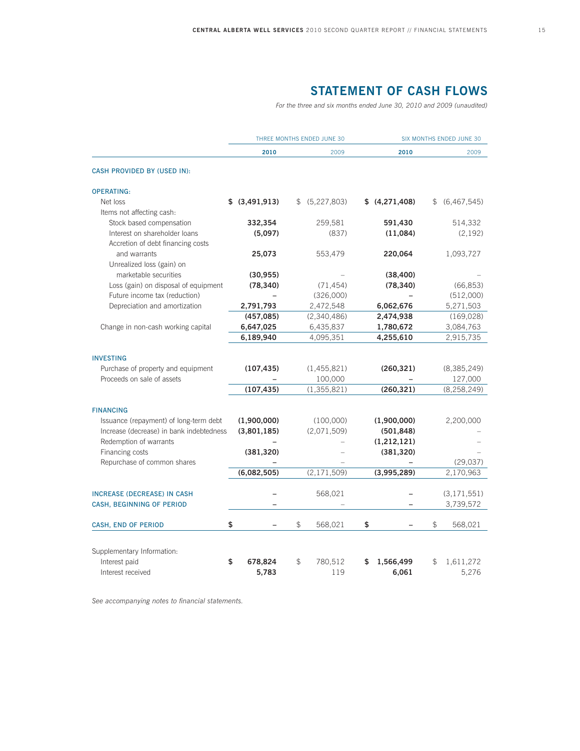# **STATEMENT OF CASH FLOWS**

*For the three and six months ended June 30, 2010 and 2009 (unaudited)*

|                                          |                | THREE MONTHS ENDED JUNE 30 | SIX MONTHS ENDED JUNE 30 |             |               |
|------------------------------------------|----------------|----------------------------|--------------------------|-------------|---------------|
|                                          | 2010           | 2009                       | 2010                     |             | 2009          |
| CASH PROVIDED BY (USED IN):              |                |                            |                          |             |               |
| <b>OPERATING:</b>                        |                |                            |                          |             |               |
| Net loss                                 | \$ (3,491,913) | \$ (5,227,803)             | \$(4,271,408)            | $\mathbb S$ | (6,467,545)   |
| Items not affecting cash:                |                |                            |                          |             |               |
| Stock based compensation                 | 332,354        | 259,581                    | 591,430                  |             | 514,332       |
| Interest on shareholder loans            | (5,097)        | (837)                      | (11,084)                 |             | (2, 192)      |
| Accretion of debt financing costs        |                |                            |                          |             |               |
| and warrants                             | 25,073         | 553,479                    | 220,064                  |             | 1,093,727     |
| Unrealized loss (gain) on                |                |                            |                          |             |               |
| marketable securities                    | (30, 955)      |                            | (38, 400)                |             |               |
| Loss (gain) on disposal of equipment     | (78, 340)      | (71, 454)                  | (78, 340)                |             | (66, 853)     |
| Future income tax (reduction)            |                | (326,000)                  |                          |             | (512,000)     |
| Depreciation and amortization            | 2,791,793      | 2,472,548                  | 6,062,676                |             | 5,271,503     |
|                                          | (457, 085)     | (2,340,486)                | 2,474,938                |             | (169, 028)    |
| Change in non-cash working capital       | 6,647,025      | 6,435,837                  | 1,780,672                |             | 3,084,763     |
|                                          | 6,189,940      | 4,095,351                  | 4,255,610                |             | 2,915,735     |
|                                          |                |                            |                          |             |               |
| <b>INVESTING</b>                         |                |                            |                          |             |               |
| Purchase of property and equipment       | (107, 435)     | (1,455,821)                | (260, 321)               |             | (8,385,249)   |
| Proceeds on sale of assets               |                | 100,000                    |                          |             | 127,000       |
|                                          | (107, 435)     | (1, 355, 821)              | (260, 321)               |             | (8, 258, 249) |
| <b>FINANCING</b>                         |                |                            |                          |             |               |
| Issuance (repayment) of long-term debt   | (1,900,000)    | (100,000)                  | (1,900,000)              |             | 2,200,000     |
| Increase (decrease) in bank indebtedness | (3,801,185)    | (2,071,509)                | (501, 848)               |             |               |
| Redemption of warrants                   |                |                            | (1, 212, 121)            |             |               |
| Financing costs                          | (381, 320)     |                            | (381, 320)               |             |               |
| Repurchase of common shares              |                |                            |                          |             | (29, 037)     |
|                                          | (6,082,505)    | (2, 171, 509)              | (3,995,289)              |             | 2,170,963     |
|                                          |                |                            |                          |             |               |
| <b>INCREASE (DECREASE) IN CASH</b>       |                | 568,021                    |                          |             | (3, 171, 551) |
| CASH, BEGINNING OF PERIOD                |                |                            |                          |             | 3,739,572     |
|                                          |                |                            |                          |             |               |
| CASH, END OF PERIOD                      | \$             | \$<br>568,021              | \$                       | \$          | 568,021       |
|                                          |                |                            |                          |             |               |
| Supplementary Information:               |                |                            |                          |             |               |
| Interest paid                            | \$<br>678,824  | \$<br>780,512              | \$<br>1,566,499          | \$          | 1,611,272     |
| Interest received                        | 5,783          | 119                        | 6,061                    |             | 5,276         |

*See accompanying notes to financial statements.*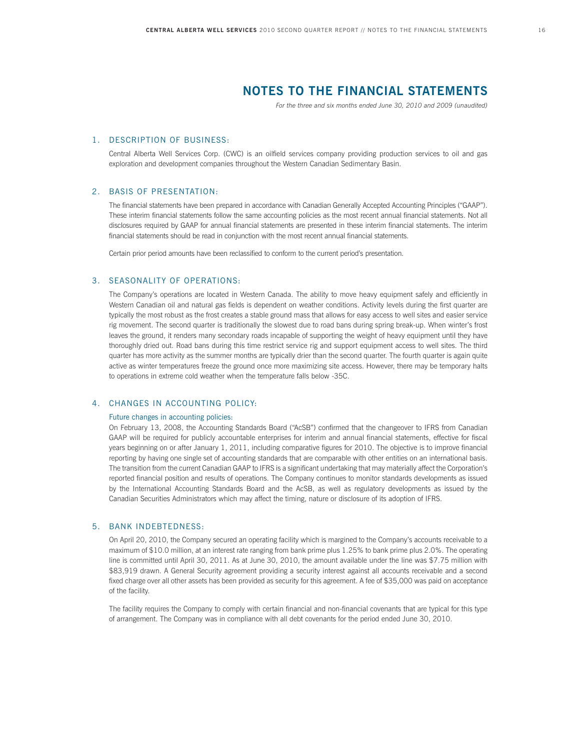# **NOTES TO THE FINANCIAL STATEMENTS**

*For the three and six months ended June 30, 2010 and 2009 (unaudited)*

#### 1. DESCRIPTION OF BUSINESS:

 Central Alberta Well Services Corp. (CWC) is an oilfield services company providing production services to oil and gas exploration and development companies throughout the Western Canadian Sedimentary Basin.

#### 2. BASIS OF PRESENTATION:

 The financial statements have been prepared in accordance with Canadian Generally Accepted Accounting Principles ("GAAP"). These interim financial statements follow the same accounting policies as the most recent annual financial statements. Not all disclosures required by GAAP for annual financial statements are presented in these interim financial statements. The interim financial statements should be read in conjunction with the most recent annual financial statements.

Certain prior period amounts have been reclassified to conform to the current period's presentation.

## 3. SEASONALITY OF OPERATIONS:

 The Company's operations are located in Western Canada. The ability to move heavy equipment safely and efficiently in Western Canadian oil and natural gas fields is dependent on weather conditions. Activity levels during the first quarter are typically the most robust as the frost creates a stable ground mass that allows for easy access to well sites and easier service rig movement. The second quarter is traditionally the slowest due to road bans during spring break-up. When winter's frost leaves the ground, it renders many secondary roads incapable of supporting the weight of heavy equipment until they have thoroughly dried out. Road bans during this time restrict service rig and support equipment access to well sites. The third quarter has more activity as the summer months are typically drier than the second quarter. The fourth quarter is again quite active as winter temperatures freeze the ground once more maximizing site access. However, there may be temporary halts to operations in extreme cold weather when the temperature falls below -35C.

### 4. CHANGES IN ACCOUNTING POLICY:

#### Future changes in accounting policies:

 On February 13, 2008, the Accounting Standards Board ("AcSB") confirmed that the changeover to IFRS from Canadian GAAP will be required for publicly accountable enterprises for interim and annual financial statements, effective for fiscal years beginning on or after January 1, 2011, including comparative figures for 2010. The objective is to improve financial reporting by having one single set of accounting standards that are comparable with other entities on an international basis. The transition from the current Canadian GAAP to IFRS is a significant undertaking that may materially affect the Corporation's reported financial position and results of operations. The Company continues to monitor standards developments as issued by the International Accounting Standards Board and the AcSB, as well as regulatory developments as issued by the Canadian Securities Administrators which may affect the timing, nature or disclosure of its adoption of IFRS.

## 5. BANK INDEBTEDNESS:

 On April 20, 2010, the Company secured an operating facility which is margined to the Company's accounts receivable to a maximum of \$10.0 million, at an interest rate ranging from bank prime plus 1.25% to bank prime plus 2.0%. The operating line is committed until April 30, 2011. As at June 30, 2010, the amount available under the line was \$7.75 million with \$83,919 drawn. A General Security agreement providing a security interest against all accounts receivable and a second fixed charge over all other assets has been provided as security for this agreement. A fee of \$35,000 was paid on acceptance of the facility.

 The facility requires the Company to comply with certain financial and non-financial covenants that are typical for this type of arrangement. The Company was in compliance with all debt covenants for the period ended June 30, 2010.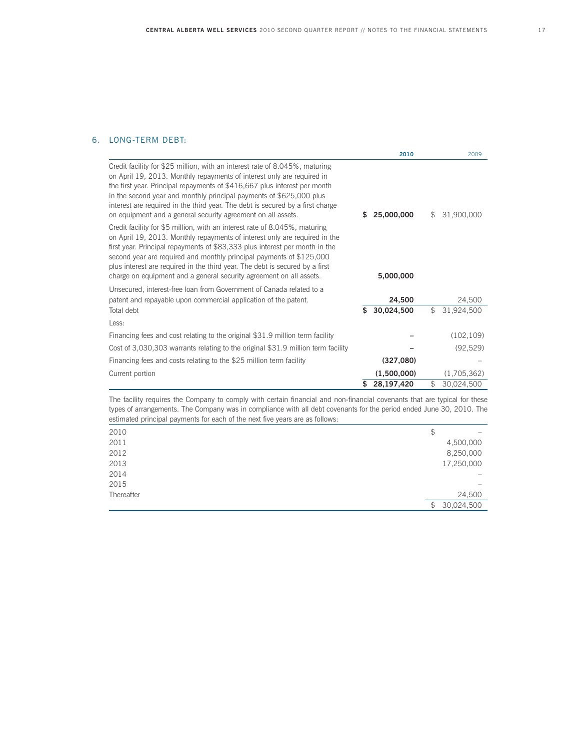# 6. LONG-TERM DEBT:

|                                                                                                                                                                                                                                                                                                                                                                                                                                                                        |    | 2010        | 2009             |
|------------------------------------------------------------------------------------------------------------------------------------------------------------------------------------------------------------------------------------------------------------------------------------------------------------------------------------------------------------------------------------------------------------------------------------------------------------------------|----|-------------|------------------|
| Credit facility for \$25 million, with an interest rate of 8.045%, maturing<br>on April 19, 2013. Monthly repayments of interest only are required in<br>the first year. Principal repayments of \$416,667 plus interest per month<br>in the second year and monthly principal payments of \$625,000 plus<br>interest are required in the third year. The debt is secured by a first charge<br>on equipment and a general security agreement on all assets.            | S. | 25,000,000  | \$<br>31,900,000 |
| Credit facility for \$5 million, with an interest rate of 8.045%, maturing<br>on April 19, 2013. Monthly repayments of interest only are required in the<br>first year. Principal repayments of \$83,333 plus interest per month in the<br>second year are required and monthly principal payments of \$125,000<br>plus interest are required in the third year. The debt is secured by a first<br>charge on equipment and a general security agreement on all assets. |    | 5,000,000   |                  |
| Unsecured, interest-free loan from Government of Canada related to a                                                                                                                                                                                                                                                                                                                                                                                                   |    |             |                  |
| patent and repayable upon commercial application of the patent.                                                                                                                                                                                                                                                                                                                                                                                                        |    | 24,500      | 24,500           |
| Total debt                                                                                                                                                                                                                                                                                                                                                                                                                                                             | \$ | 30,024,500  | \$<br>31,924,500 |
| Less:                                                                                                                                                                                                                                                                                                                                                                                                                                                                  |    |             |                  |
| Financing fees and cost relating to the original \$31.9 million term facility                                                                                                                                                                                                                                                                                                                                                                                          |    |             | (102, 109)       |
| Cost of 3,030,303 warrants relating to the original \$31.9 million term facility                                                                                                                                                                                                                                                                                                                                                                                       |    |             | (92, 529)        |
| Financing fees and costs relating to the \$25 million term facility                                                                                                                                                                                                                                                                                                                                                                                                    |    | (327,080)   |                  |
| Current portion                                                                                                                                                                                                                                                                                                                                                                                                                                                        |    | (1,500,000) | (1,705,362)      |
|                                                                                                                                                                                                                                                                                                                                                                                                                                                                        | \$ | 28,197,420  | \$<br>30,024,500 |

 The facility requires the Company to comply with certain financial and non-financial covenants that are typical for these types of arrangements. The Company was in compliance with all debt covenants for the period ended June 30, 2010. The estimated principal payments for each of the next five years are as follows:

| 2010       | \$               |
|------------|------------------|
| 2011       | 4,500,000        |
| 2012       | 8,250,000        |
| 2013       | 17,250,000       |
| 2014       |                  |
| 2015       |                  |
| Thereafter | 24,500           |
|            | 30,024,500<br>\$ |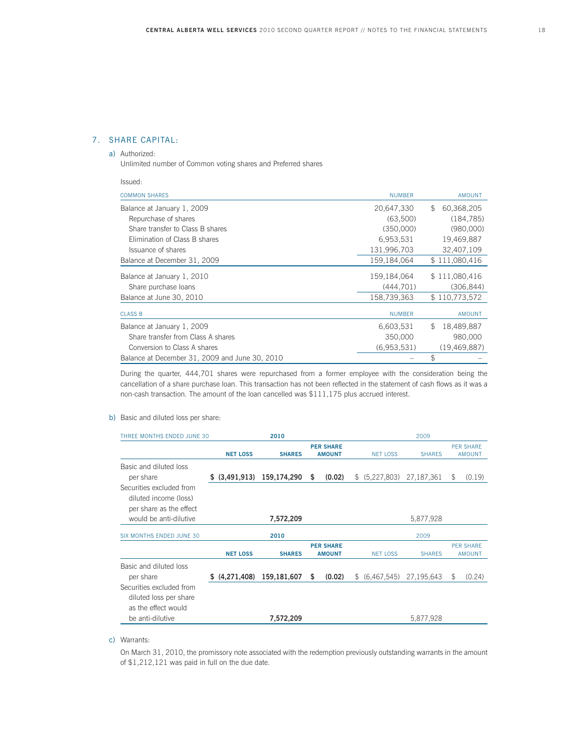## 7. SHARE CAPITAL:

## a) Authorized:

Issued:

Unlimited number of Common voting shares and Preferred shares

| <b>COMMON SHARES</b>                           | <b>NUMBER</b> | <b>AMOUNT</b>              |
|------------------------------------------------|---------------|----------------------------|
| Balance at January 1, 2009                     | 20,647,330    | 60,368,205<br>$\mathbb{S}$ |
| Repurchase of shares                           | (63,500)      | (184, 785)                 |
| Share transfer to Class B shares               | (350,000)     | (980,000)                  |
| Elimination of Class B shares                  | 6,953,531     | 19,469,887                 |
| Issuance of shares                             | 131,996,703   | 32,407,109                 |
| Balance at December 31, 2009                   | 159,184,064   | \$111,080,416              |
| Balance at January 1, 2010                     | 159,184,064   | \$111,080,416              |
| Share purchase loans                           | (444, 701)    | (306, 844)                 |
| Balance at June 30, 2010                       | 158,739,363   | \$110,773,572              |
| <b>CLASS B</b>                                 | <b>NUMBER</b> | <b>AMOUNT</b>              |
| Balance at January 1, 2009                     | 6,603,531     | 18,489,887<br>\$.          |
| Share transfer from Class A shares             | 350,000       | 980.000                    |
| Conversion to Class A shares                   | (6,953,531)   | (19, 469, 887)             |
| Balance at December 31, 2009 and June 30, 2010 |               | \$                         |

 During the quarter, 444,701 shares were repurchased from a former employee with the consideration being the cancellation of a share purchase loan. This transaction has not been reflected in the statement of cash flows as it was a non-cash transaction. The amount of the loan cancelled was \$111,175 plus accrued interest.

#### b) Basic and diluted loss per share:

| THREE MONTHS ENDED JUNE 30                                                                    |                 | 2010          |                                   |                 | 2009          |                                   |
|-----------------------------------------------------------------------------------------------|-----------------|---------------|-----------------------------------|-----------------|---------------|-----------------------------------|
|                                                                                               | <b>NET LOSS</b> | <b>SHARES</b> | <b>PER SHARE</b><br><b>AMOUNT</b> | <b>NET LOSS</b> | <b>SHARES</b> | <b>PER SHARE</b><br><b>AMOUNT</b> |
| Basic and diluted loss<br>per share<br>Securities excluded from                               | \$ (3,491,913)  | 159,174,290   | \$<br>(0.02)                      | \$ (5,227,803)  | 27,187,361    | \$<br>(0.19)                      |
| diluted income (loss)<br>per share as the effect<br>would be anti-dilutive                    |                 | 7,572,209     |                                   |                 | 5,877,928     |                                   |
| SIX MONTHS ENDED JUNE 30                                                                      |                 | 2010          |                                   |                 | 2009          |                                   |
|                                                                                               | <b>NET LOSS</b> | <b>SHARES</b> | <b>PER SHARE</b><br><b>AMOUNT</b> | <b>NET LOSS</b> | <b>SHARES</b> | <b>PFR SHARF</b><br><b>AMOUNT</b> |
| Basic and diluted loss<br>per share                                                           | \$(4,271,408)   | 159,181,607   | \$<br>(0.02)                      | \$ (6,467,545)  | 27,195,643    | \$<br>(0.24)                      |
| Securities excluded from<br>diluted loss per share<br>as the effect would<br>be anti-dilutive |                 | 7,572,209     |                                   |                 | 5,877,928     |                                   |

c) Warrants:

 On March 31, 2010, the promissory note associated with the redemption previously outstanding warrants in the amount of \$1,212,121 was paid in full on the due date.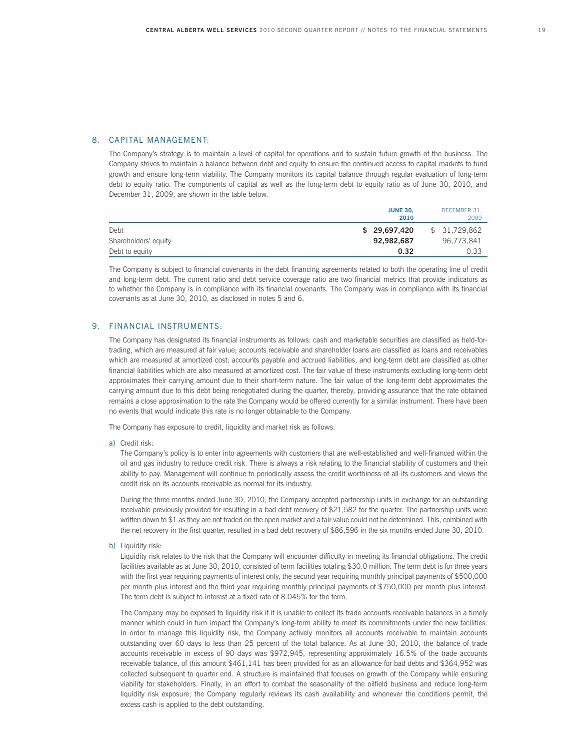#### 8. CAPITAL MANAGEMENT:

 The Company's strategy is to maintain a level of capital for operations and to sustain future growth of the business. The Company strives to maintain a balance between debt and equity to ensure the continued access to capital markets to fund growth and ensure long-term viability. The Company monitors its capital balance through regular evaluation of long-term debt to equity ratio. The components of capital as well as the long-term debt to equity ratio as of June 30, 2010, and December 31, 2009, are shown in the table below.

|                      | <b>JUNE 30.</b><br>DECEMBER 31,<br>2009<br>2010 |  |
|----------------------|-------------------------------------------------|--|
| Debt                 | \$31,729,862<br>\$ 29,697,420                   |  |
| Shareholders' equity | 92,982,687<br>96.773.841                        |  |
| Debt to equity       | 0.33<br>0.32                                    |  |

 The Company is subject to financial covenants in the debt financing agreements related to both the operating line of credit and long-term debt. The current ratio and debt service coverage ratio are two financial metrics that provide indicators as to whether the Company is in compliance with its financial covenants. The Company was in compliance with its financial covenants as at June 30, 2010, as disclosed in notes 5 and 6.

#### 9. FINANCIAL INSTRUMENTS:

 The Company has designated its financial instruments as follows: cash and marketable securities are classified as held-fortrading, which are measured at fair value; accounts receivable and shareholder loans are classified as loans and receivables which are measured at amortized cost; accounts payable and accrued liabilities, and long-term debt are classified as other financial liabilities which are also measured at amortized cost. The fair value of these instruments excluding long-term debt approximates their carrying amount due to their short-term nature. The fair value of the long-term debt approximates the carrying amount due to this debt being renegotiated during the quarter, thereby, providing assurance that the rate obtained remains a close approximation to the rate the Company would be offered currently for a similar instrument. There have been no events that would indicate this rate is no longer obtainable to the Company.

The Company has exposure to credit, liquidity and market risk as follows:

a) Credit risk:

 The Company's policy is to enter into agreements with customers that are well-established and well-financed within the oil and gas industry to reduce credit risk. There is always a risk relating to the financial stability of customers and their ability to pay. Management will continue to periodically assess the credit worthiness of all its customers and views the credit risk on its accounts receivable as normal for its industry.

 During the three months ended June 30, 2010, the Company accepted partnership units in exchange for an outstanding receivable previously provided for resulting in a bad debt recovery of \$21,582 for the quarter. The partnership units were written down to \$1 as they are not traded on the open market and a fair value could not be determined. This, combined with the net recovery in the first quarter, resulted in a bad debt recovery of \$86,596 in the six months ended June 30, 2010.

b) Liquidity risk:

 Liquidity risk relates to the risk that the Company will encounter difficulty in meeting its financial obligations. The credit facilities available as at June 30, 2010, consisted of term facilities totaling \$30.0 million. The term debt is for three years with the first year requiring payments of interest only, the second year requiring monthly principal payments of \$500,000 per month plus interest and the third year requiring monthly principal payments of \$750,000 per month plus interest. The term debt is subject to interest at a fixed rate of 8.045% for the term.

 The Company may be exposed to liquidity risk if it is unable to collect its trade accounts receivable balances in a timely manner which could in turn impact the Company's long-term ability to meet its commitments under the new facilities. In order to manage this liquidity risk, the Company actively monitors all accounts receivable to maintain accounts outstanding over 60 days to less than 25 percent of the total balance. As at June 30, 2010, the balance of trade accounts receivable in excess of 90 days was \$972,945, representing approximately 16.5% of the trade accounts receivable balance, of this amount \$461,141 has been provided for as an allowance for bad debts and \$364,952 was collected subsequent to quarter end. A structure is maintained that focuses on growth of the Company while ensuring viability for stakeholders. Finally, in an effort to combat the seasonality of the oilfield business and reduce long-term liquidity risk exposure, the Company regularly reviews its cash availability and whenever the conditions permit, the excess cash is applied to the debt outstanding.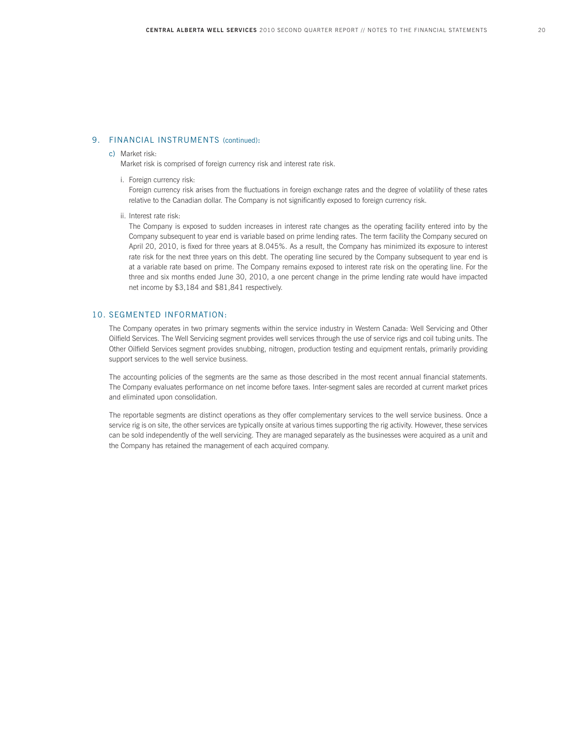#### 9. FINANCIAL INSTRUMENTS (continued):

#### c) Market risk:

Market risk is comprised of foreign currency risk and interest rate risk.

i. Foreign currency risk:

 Foreign currency risk arises from the fluctuations in foreign exchange rates and the degree of volatility of these rates relative to the Canadian dollar. The Company is not significantly exposed to foreign currency risk.

ii. Interest rate risk:

 The Company is exposed to sudden increases in interest rate changes as the operating facility entered into by the Company subsequent to year end is variable based on prime lending rates. The term facility the Company secured on April 20, 2010, is fixed for three years at 8.045%. As a result, the Company has minimized its exposure to interest rate risk for the next three years on this debt. The operating line secured by the Company subsequent to year end is at a variable rate based on prime. The Company remains exposed to interest rate risk on the operating line. For the three and six months ended June 30, 2010, a one percent change in the prime lending rate would have impacted net income by \$3,184 and \$81,841 respectively.

#### 10. SEGMENTED INFORMATION:

 The Company operates in two primary segments within the service industry in Western Canada: Well Servicing and Other Oilfield Services. The Well Servicing segment provides well services through the use of service rigs and coil tubing units. The Other Oilfield Services segment provides snubbing, nitrogen, production testing and equipment rentals, primarily providing support services to the well service business.

 The accounting policies of the segments are the same as those described in the most recent annual financial statements. The Company evaluates performance on net income before taxes. Inter-segment sales are recorded at current market prices and eliminated upon consolidation.

 The reportable segments are distinct operations as they offer complementary services to the well service business. Once a service rig is on site, the other services are typically onsite at various times supporting the rig activity. However, these services can be sold independently of the well servicing. They are managed separately as the businesses were acquired as a unit and the Company has retained the management of each acquired company.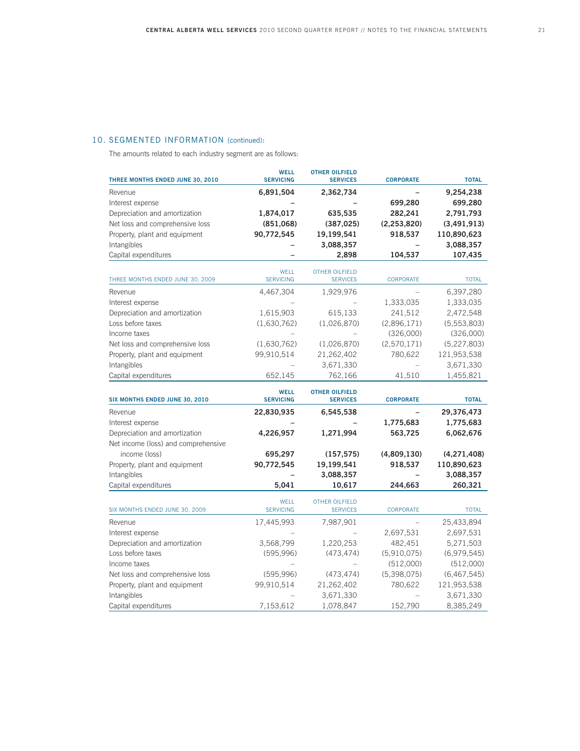# 10. SEGMENTED INFORMATION (continued):

The amounts related to each industry segment are as follows:

| THREE MONTHS ENDED JUNE 30, 2010                  | <b>WELL</b><br><b>SERVICING</b> | <b>OTHER OILFIELD</b><br><b>SERVICES</b> | <b>CORPORATE</b>         | <b>TOTAL</b>           |
|---------------------------------------------------|---------------------------------|------------------------------------------|--------------------------|------------------------|
| Revenue                                           | 6,891,504                       | 2,362,734                                |                          | 9,254,238              |
| Interest expense                                  |                                 |                                          | 699,280                  | 699,280                |
| Depreciation and amortization                     | 1,874,017                       | 635,535                                  | 282,241                  | 2,791,793              |
| Net loss and comprehensive loss                   | (851,068)                       | (387, 025)                               | (2, 253, 820)            | (3,491,913)            |
| Property, plant and equipment                     | 90,772,545                      | 19,199,541                               | 918,537                  | 110,890,623            |
| Intangibles                                       |                                 | 3,088,357                                |                          | 3,088,357              |
| Capital expenditures                              |                                 | 2,898                                    | 104,537                  | 107,435                |
| THREE MONTHS ENDED JUNE 30, 2009                  | <b>WELL</b><br><b>SERVICING</b> | <b>OTHER OILFIELD</b>                    | CORPORATE                | <b>TOTAL</b>           |
|                                                   |                                 | <b>SERVICES</b>                          |                          |                        |
| Revenue                                           | 4,467,304                       | 1,929,976                                |                          | 6,397,280<br>1,333,035 |
| Interest expense<br>Depreciation and amortization | 1,615,903                       |                                          | 1,333,035<br>241,512     | 2,472,548              |
| Loss before taxes                                 | (1,630,762)                     | 615,133<br>(1,026,870)                   | (2,896,171)              | (5, 553, 803)          |
| Income taxes                                      |                                 |                                          | (326,000)                | (326,000)              |
| Net loss and comprehensive loss                   | (1,630,762)                     | (1,026,870)                              | (2,570,171)              | (5,227,803)            |
| Property, plant and equipment                     | 99,910,514                      | 21,262,402                               | 780,622                  | 121,953,538            |
| Intangibles                                       |                                 | 3,671,330                                |                          | 3,671,330              |
| Capital expenditures                              | 652,145                         | 762,166                                  | 41,510                   | 1,455,821              |
|                                                   |                                 |                                          |                          |                        |
| SIX MONTHS ENDED JUNE 30, 2010                    | <b>WELL</b><br><b>SERVICING</b> | <b>OTHER OILFIELD</b><br><b>SERVICES</b> | <b>CORPORATE</b>         | <b>TOTAL</b>           |
| Revenue                                           | 22,830,935                      | 6,545,538                                |                          | 29,376,473             |
| Interest expense                                  |                                 |                                          | 1,775,683                | 1,775,683              |
| Depreciation and amortization                     | 4,226,957                       | 1,271,994                                | 563,725                  | 6,062,676              |
| Net income (loss) and comprehensive               |                                 |                                          |                          |                        |
| income (loss)                                     | 695,297                         | (157, 575)                               | (4,809,130)              | (4,271,408)            |
| Property, plant and equipment                     | 90,772,545                      | 19,199,541                               | 918,537                  | 110,890,623            |
| Intangibles                                       |                                 | 3,088,357                                |                          | 3,088,357              |
| Capital expenditures                              | 5,041                           | 10,617                                   | 244,663                  | 260,321                |
| SIX MONTHS ENDED JUNE 30, 2009                    | <b>WELL</b><br><b>SERVICING</b> | <b>OTHER OILFIELD</b><br><b>SERVICES</b> | <b>CORPORATE</b>         | <b>TOTAL</b>           |
| Revenue                                           | 17,445,993                      | 7,987,901                                | $\overline{\phantom{0}}$ | 25,433,894             |
| Interest expense                                  |                                 |                                          | 2,697,531                | 2,697,531              |
| Depreciation and amortization                     | 3,568,799                       | 1,220,253                                | 482,451                  | 5,271,503              |
| Loss before taxes                                 | (595, 996)                      | (473, 474)                               | (5,910,075)              | (6,979,545)            |
| Income taxes                                      |                                 |                                          | (512,000)                | (512,000)              |
| Net loss and comprehensive loss                   | (595, 996)                      | (473, 474)                               | (5,398,075)              | (6, 467, 545)          |
| Property, plant and equipment                     | 99,910,514                      | 21,262,402                               | 780,622                  | 121,953,538            |
| Intangibles                                       |                                 | 3,671,330                                |                          | 3,671,330              |
| Capital expenditures                              | 7,153,612                       | 1,078,847                                | 152,790                  | 8,385,249              |